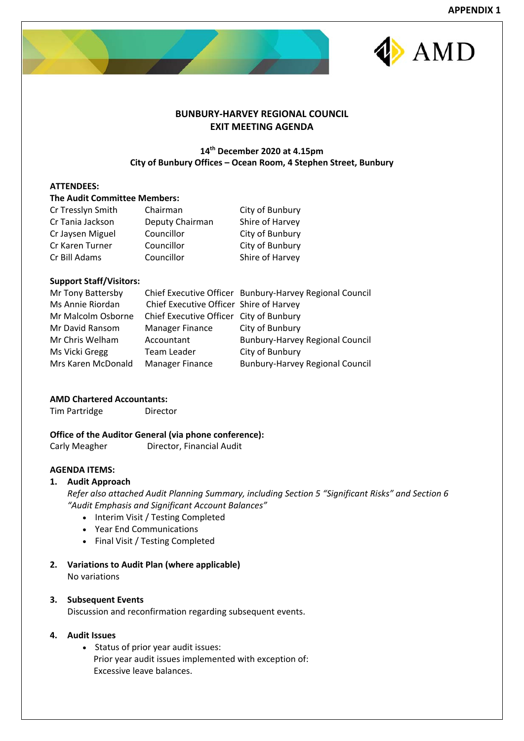



# **BUNBURY‐HARVEY REGIONAL COUNCIL EXIT MEETING AGENDA**

# **14th December 2020 at 4.15pm City of Bunbury Offices – Ocean Room, 4 Stephen Street, Bunbury**

# **ATTENDEES:**

# **The Audit Committee Members:**

| Cr Tresslyn Smith | Chairman        | City of Bunbury |
|-------------------|-----------------|-----------------|
| Cr Tania Jackson  | Deputy Chairman | Shire of Harvey |
| Cr Jaysen Miguel  | Councillor      | City of Bunbury |
| Cr Karen Turner   | Councillor      | City of Bunbury |
| Cr Bill Adams     | Councillor      | Shire of Harvey |

# **Support Staff/Visitors:**

| Mr Tony Battersby  |                                         | Chief Executive Officer Bunbury-Harvey Regional Council |
|--------------------|-----------------------------------------|---------------------------------------------------------|
| Ms Annie Riordan   | Chief Executive Officer Shire of Harvey |                                                         |
| Mr Malcolm Osborne | Chief Executive Officer City of Bunbury |                                                         |
| Mr David Ransom    | Manager Finance                         | City of Bunbury                                         |
| Mr Chris Welham    | Accountant                              | <b>Bunbury-Harvey Regional Council</b>                  |
| Ms Vicki Gregg     | Team Leader                             | City of Bunbury                                         |
| Mrs Karen McDonald | <b>Manager Finance</b>                  | <b>Bunbury-Harvey Regional Council</b>                  |

# **AMD Chartered Accountants:**

Tim Partridge Director

# **Office of the Auditor General (via phone conference):**

Carly Meagher **Director, Financial Audit** 

# **AGENDA ITEMS:**

# **1. Audit Approach**

*Refer also attached Audit Planning Summary, including Section 5 "Significant Risks" and Section 6 "Audit Emphasis and Significant Account Balances"* 

- Interim Visit / Testing Completed
- Year End Communications
- Final Visit / Testing Completed
- **2. Variations to Audit Plan (where applicable)** No variations

# **3. Subsequent Events**

Discussion and reconfirmation regarding subsequent events.

# **4. Audit Issues**

 Status of prior year audit issues: Prior year audit issues implemented with exception of: Excessive leave balances.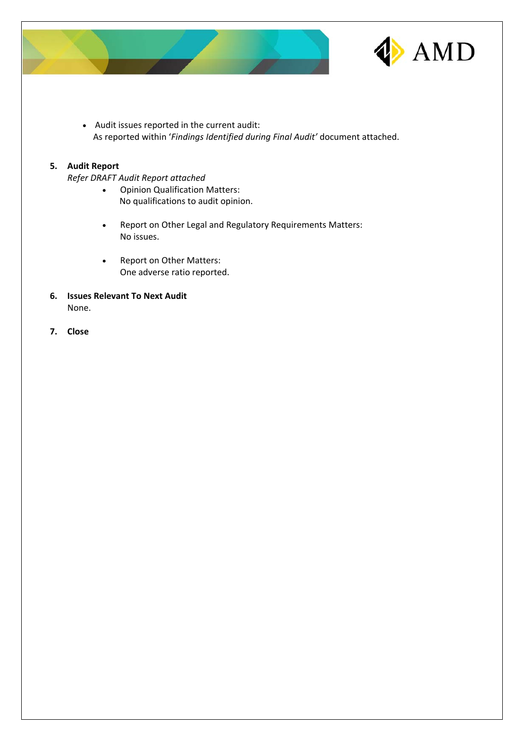



 Audit issues reported in the current audit: As reported within '*Findings Identified during Final Audit'* document attached.

# **5. Audit Report**

*Refer DRAFT Audit Report attached*

- Opinion Qualification Matters: No qualifications to audit opinion.
- Report on Other Legal and Regulatory Requirements Matters: No issues.
- Report on Other Matters: One adverse ratio reported.
- **6. Issues Relevant To Next Audit** None.
- **7. Close**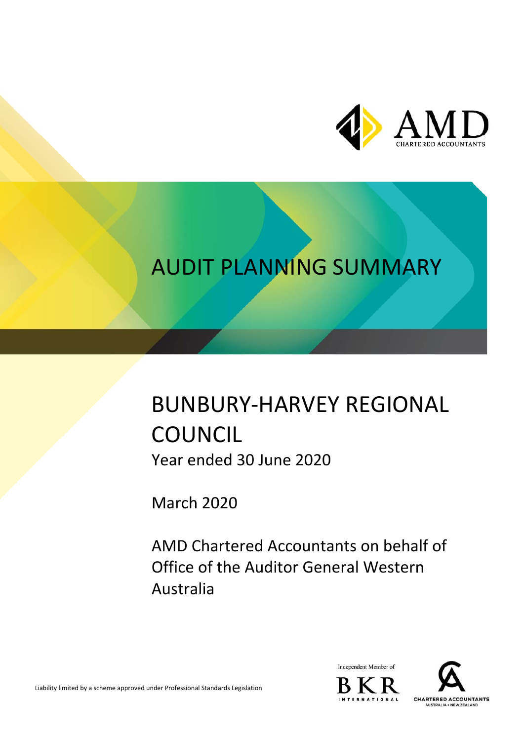

# AUDIT PLANNING SUMMARY

# BUNBURY‐HARVEY REGIONAL **COUNCIL** Year ended 30 June 2020

March 2020

AMD Chartered Accountants on behalf of Office of the Auditor General Western Australia



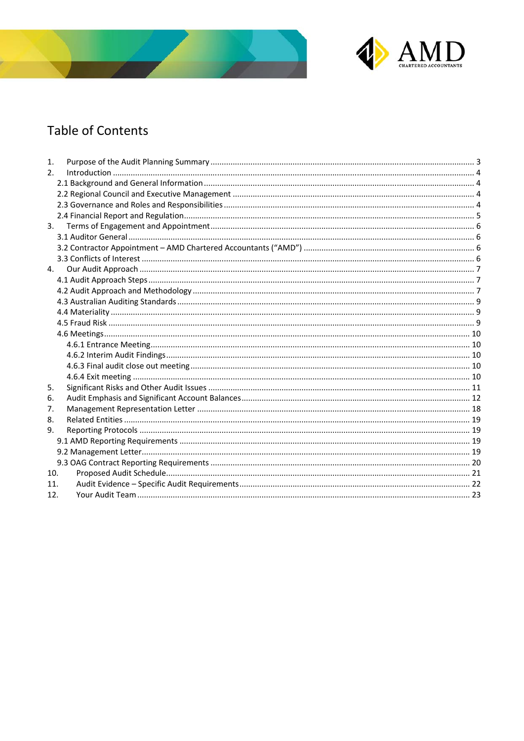



# **Table of Contents**

| 1.             |  |
|----------------|--|
| 2 <sub>1</sub> |  |
|                |  |
|                |  |
|                |  |
|                |  |
| 3.             |  |
|                |  |
|                |  |
|                |  |
| 4.             |  |
|                |  |
|                |  |
|                |  |
|                |  |
|                |  |
|                |  |
|                |  |
|                |  |
|                |  |
|                |  |
| 5.             |  |
| 6.             |  |
| 7.             |  |
| 8.             |  |
| 9.             |  |
|                |  |
|                |  |
|                |  |
| 10.            |  |
| 11.            |  |
| 12.            |  |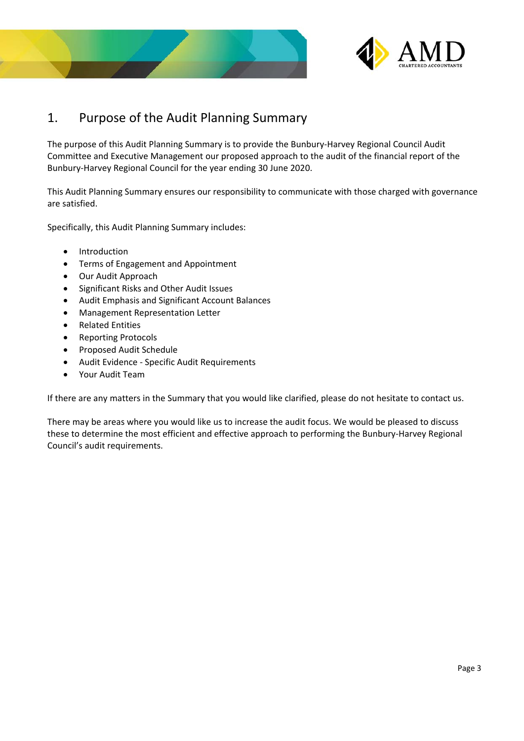



# 1. Purpose of the Audit Planning Summary

The purpose of this Audit Planning Summary is to provide the Bunbury‐Harvey Regional Council Audit Committee and Executive Management our proposed approach to the audit of the financial report of the Bunbury‐Harvey Regional Council for the year ending 30 June 2020.

This Audit Planning Summary ensures our responsibility to communicate with those charged with governance are satisfied.

Specifically, this Audit Planning Summary includes:

- Introduction
- Terms of Engagement and Appointment
- Our Audit Approach
- Significant Risks and Other Audit Issues
- Audit Emphasis and Significant Account Balances
- Management Representation Letter
- Related Entities
- Reporting Protocols
- Proposed Audit Schedule
- Audit Evidence ‐ Specific Audit Requirements
- Your Audit Team

If there are any matters in the Summary that you would like clarified, please do not hesitate to contact us.

There may be areas where you would like us to increase the audit focus. We would be pleased to discuss these to determine the most efficient and effective approach to performing the Bunbury‐Harvey Regional Council's audit requirements.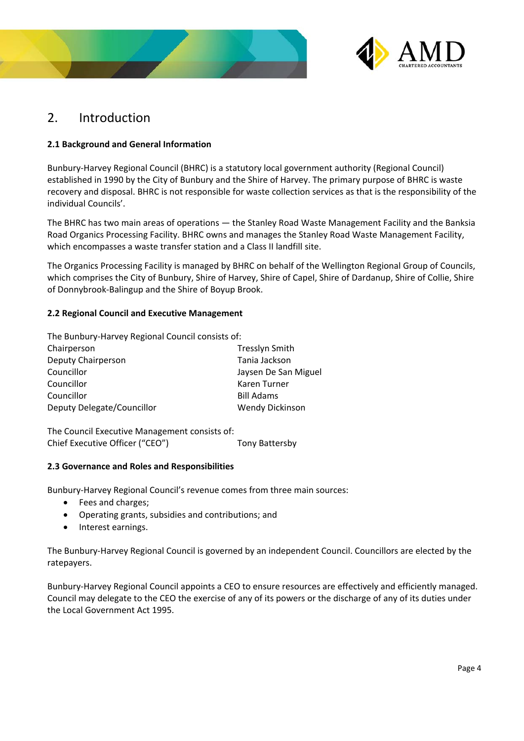



# 2. Introduction

# **2.1 Background and General Information**

Bunbury‐Harvey Regional Council (BHRC) is a statutory local government authority (Regional Council) established in 1990 by the City of Bunbury and the Shire of Harvey. The primary purpose of BHRC is waste recovery and disposal. BHRC is not responsible for waste collection services as that is the responsibility of the individual Councils'.

The BHRC has two main areas of operations — the Stanley Road Waste Management Facility and the Banksia Road Organics Processing Facility. BHRC owns and manages the Stanley Road Waste Management Facility, which encompasses a waste transfer station and a Class II landfill site.

The Organics Processing Facility is managed by BHRC on behalf of the Wellington Regional Group of Councils, which comprises the City of Bunbury, Shire of Harvey, Shire of Capel, Shire of Dardanup, Shire of Collie, Shire of Donnybrook‐Balingup and the Shire of Boyup Brook.

# **2.2 Regional Council and Executive Management**

The Bunbury‐Harvey Regional Council consists of:

| Chairperson                | <b>Tresslyn Smith</b>  |
|----------------------------|------------------------|
| Deputy Chairperson         | Tania Jackson          |
| Councillor                 | Jaysen De San Miguel   |
| Councillor                 | Karen Turner           |
| Councillor                 | <b>Bill Adams</b>      |
| Deputy Delegate/Councillor | <b>Wendy Dickinson</b> |
|                            |                        |

The Council Executive Management consists of: Chief Executive Officer ("CEO") Tony Battersby

# **2.3 Governance and Roles and Responsibilities**

Bunbury‐Harvey Regional Council's revenue comes from three main sources:

- Fees and charges;
- Operating grants, subsidies and contributions; and
- Interest earnings.

The Bunbury‐Harvey Regional Council is governed by an independent Council. Councillors are elected by the ratepayers.

Bunbury‐Harvey Regional Council appoints a CEO to ensure resources are effectively and efficiently managed. Council may delegate to the CEO the exercise of any of its powers or the discharge of any of its duties under the Local Government Act 1995.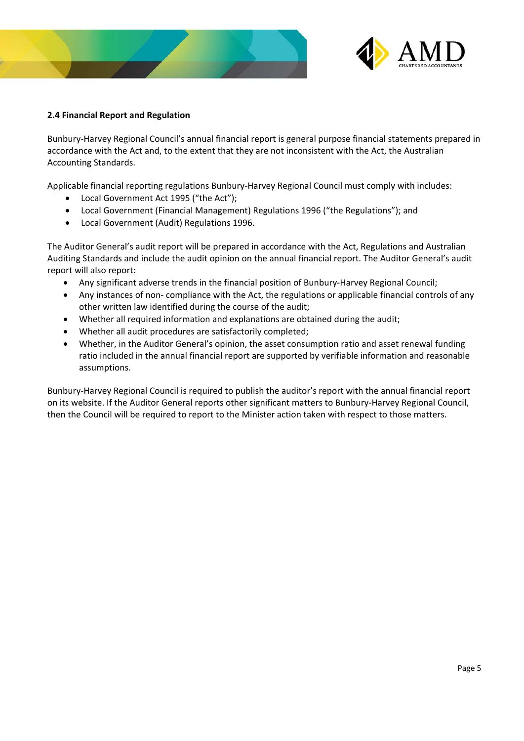



# **2.4 Financial Report and Regulation**

Bunbury‐Harvey Regional Council's annual financial report is general purpose financial statements prepared in accordance with the Act and, to the extent that they are not inconsistent with the Act, the Australian Accounting Standards.

Applicable financial reporting regulations Bunbury‐Harvey Regional Council must comply with includes:

- Local Government Act 1995 ("the Act");
- Local Government (Financial Management) Regulations 1996 ("the Regulations"); and
- Local Government (Audit) Regulations 1996.

The Auditor General's audit report will be prepared in accordance with the Act, Regulations and Australian Auditing Standards and include the audit opinion on the annual financial report. The Auditor General's audit report will also report:

- Any significant adverse trends in the financial position of Bunbury‐Harvey Regional Council;
- Any instances of non- compliance with the Act, the regulations or applicable financial controls of any other written law identified during the course of the audit;
- Whether all required information and explanations are obtained during the audit;
- Whether all audit procedures are satisfactorily completed;
- Whether, in the Auditor General's opinion, the asset consumption ratio and asset renewal funding ratio included in the annual financial report are supported by verifiable information and reasonable assumptions.

Bunbury‐Harvey Regional Council is required to publish the auditor's report with the annual financial report on its website. If the Auditor General reports other significant matters to Bunbury‐Harvey Regional Council, then the Council will be required to report to the Minister action taken with respect to those matters.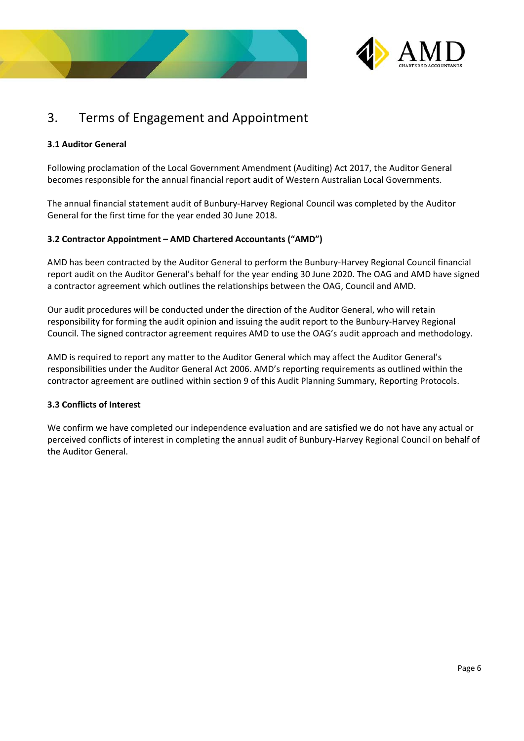



# 3. Terms of Engagement and Appointment

# **3.1 Auditor General**

Following proclamation of the Local Government Amendment (Auditing) Act 2017, the Auditor General becomes responsible for the annual financial report audit of Western Australian Local Governments.

The annual financial statement audit of Bunbury-Harvey Regional Council was completed by the Auditor General for the first time for the year ended 30 June 2018.

# **3.2 Contractor Appointment – AMD Chartered Accountants ("AMD")**

AMD has been contracted by the Auditor General to perform the Bunbury‐Harvey Regional Council financial report audit on the Auditor General's behalf for the year ending 30 June 2020. The OAG and AMD have signed a contractor agreement which outlines the relationships between the OAG, Council and AMD.

Our audit procedures will be conducted under the direction of the Auditor General, who will retain responsibility for forming the audit opinion and issuing the audit report to the Bunbury‐Harvey Regional Council. The signed contractor agreement requires AMD to use the OAG's audit approach and methodology.

AMD is required to report any matter to the Auditor General which may affect the Auditor General's responsibilities under the Auditor General Act 2006. AMD's reporting requirements as outlined within the contractor agreement are outlined within section 9 of this Audit Planning Summary, Reporting Protocols.

# **3.3 Conflicts of Interest**

We confirm we have completed our independence evaluation and are satisfied we do not have any actual or perceived conflicts of interest in completing the annual audit of Bunbury‐Harvey Regional Council on behalf of the Auditor General.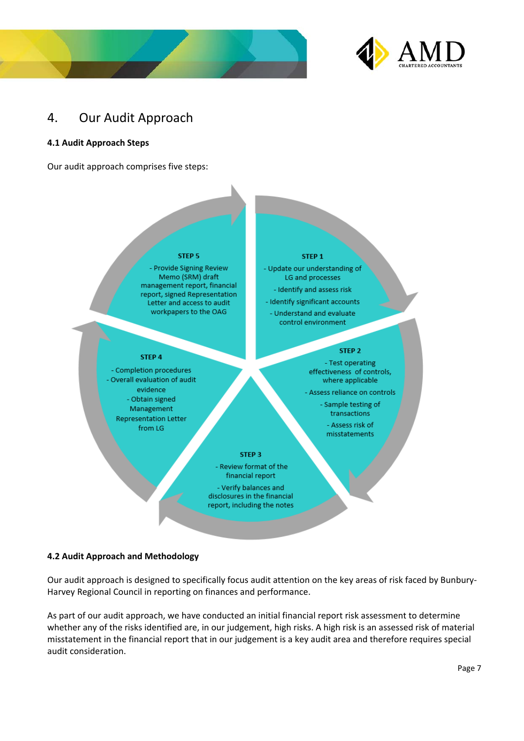



# 4. Our Audit Approach

# **4.1 Audit Approach Steps**

Our audit approach comprises five steps:

#### **STEP 5**

- Provide Signing Review Memo (SRM) draft management report, financial report, signed Representation Letter and access to audit workpapers to the OAG

STEP 4

- Completion procedures

- Overall evaluation of audit

evidence

- Obtain signed

Management

**Representation Letter** 

from LG

#### STEP<sub>1</sub>

- Update our understanding of LG and processes

- Identify and assess risk

- Identify significant accounts

- Understand and evaluate control environment

### STEP<sub>2</sub>

- Test operating effectiveness of controls, where applicable

- Assess reliance on controls

- Sample testing of transactions - Assess risk of misstatements

### STEP<sub>3</sub>

- Review format of the financial report

- Verify balances and disclosures in the financial report, including the notes

# **4.2 Audit Approach and Methodology**

Our audit approach is designed to specifically focus audit attention on the key areas of risk faced by Bunbury‐ Harvey Regional Council in reporting on finances and performance.

As part of our audit approach, we have conducted an initial financial report risk assessment to determine whether any of the risks identified are, in our judgement, high risks. A high risk is an assessed risk of material misstatement in the financial report that in our judgement is a key audit area and therefore requires special audit consideration.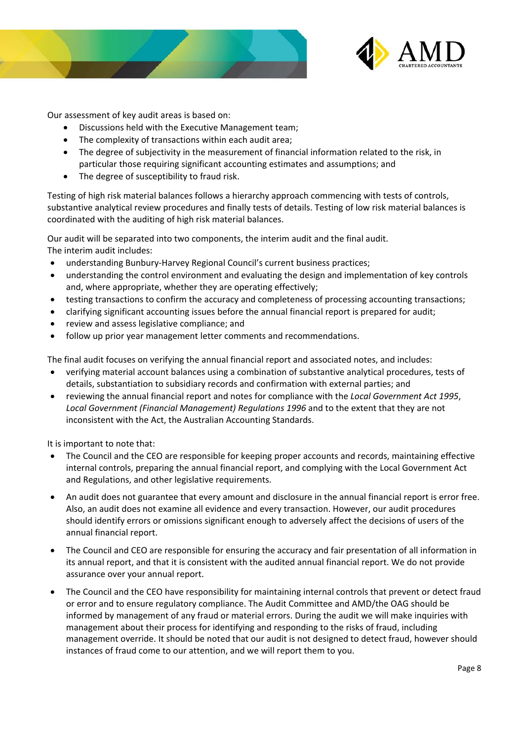



Our assessment of key audit areas is based on:

- Discussions held with the Executive Management team;
- The complexity of transactions within each audit area;
- The degree of subjectivity in the measurement of financial information related to the risk, in particular those requiring significant accounting estimates and assumptions; and
- The degree of susceptibility to fraud risk.

Testing of high risk material balances follows a hierarchy approach commencing with tests of controls, substantive analytical review procedures and finally tests of details. Testing of low risk material balances is coordinated with the auditing of high risk material balances.

Our audit will be separated into two components, the interim audit and the final audit. The interim audit includes:

- understanding Bunbury‐Harvey Regional Council's current business practices;
- understanding the control environment and evaluating the design and implementation of key controls and, where appropriate, whether they are operating effectively;
- testing transactions to confirm the accuracy and completeness of processing accounting transactions;
- clarifying significant accounting issues before the annual financial report is prepared for audit;
- review and assess legislative compliance; and
- follow up prior year management letter comments and recommendations.

The final audit focuses on verifying the annual financial report and associated notes, and includes:

- verifying material account balances using a combination of substantive analytical procedures, tests of details, substantiation to subsidiary records and confirmation with external parties; and
- reviewing the annual financial report and notes for compliance with the *Local Government Act 1995*, *Local Government (Financial Management) Regulations 1996* and to the extent that they are not inconsistent with the Act, the Australian Accounting Standards.

It is important to note that:

- The Council and the CEO are responsible for keeping proper accounts and records, maintaining effective internal controls, preparing the annual financial report, and complying with the Local Government Act and Regulations, and other legislative requirements.
- An audit does not guarantee that every amount and disclosure in the annual financial report is error free. Also, an audit does not examine all evidence and every transaction. However, our audit procedures should identify errors or omissions significant enough to adversely affect the decisions of users of the annual financial report.
- The Council and CEO are responsible for ensuring the accuracy and fair presentation of all information in its annual report, and that it is consistent with the audited annual financial report. We do not provide assurance over your annual report.
- The Council and the CEO have responsibility for maintaining internal controls that prevent or detect fraud or error and to ensure regulatory compliance. The Audit Committee and AMD/the OAG should be informed by management of any fraud or material errors. During the audit we will make inquiries with management about their process for identifying and responding to the risks of fraud, including management override. It should be noted that our audit is not designed to detect fraud, however should instances of fraud come to our attention, and we will report them to you.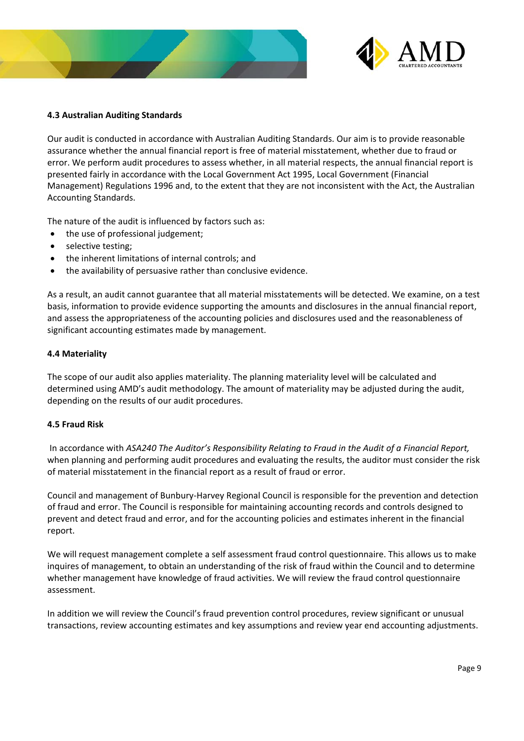



# **4.3 Australian Auditing Standards**

Our audit is conducted in accordance with Australian Auditing Standards. Our aim is to provide reasonable assurance whether the annual financial report is free of material misstatement, whether due to fraud or error. We perform audit procedures to assess whether, in all material respects, the annual financial report is presented fairly in accordance with the Local Government Act 1995, Local Government (Financial Management) Regulations 1996 and, to the extent that they are not inconsistent with the Act, the Australian Accounting Standards.

The nature of the audit is influenced by factors such as:

- the use of professional judgement;
- selective testing;
- the inherent limitations of internal controls; and
- the availability of persuasive rather than conclusive evidence.

As a result, an audit cannot guarantee that all material misstatements will be detected. We examine, on a test basis, information to provide evidence supporting the amounts and disclosures in the annual financial report, and assess the appropriateness of the accounting policies and disclosures used and the reasonableness of significant accounting estimates made by management.

# **4.4 Materiality**

The scope of our audit also applies materiality. The planning materiality level will be calculated and determined using AMD's audit methodology. The amount of materiality may be adjusted during the audit, depending on the results of our audit procedures.

# **4.5 Fraud Risk**

 In accordance with *ASA240 The Auditor's Responsibility Relating to Fraud in the Audit of a Financial Report,*  when planning and performing audit procedures and evaluating the results, the auditor must consider the risk of material misstatement in the financial report as a result of fraud or error.

Council and management of Bunbury‐Harvey Regional Council is responsible for the prevention and detection of fraud and error. The Council is responsible for maintaining accounting records and controls designed to prevent and detect fraud and error, and for the accounting policies and estimates inherent in the financial report.

We will request management complete a self assessment fraud control questionnaire. This allows us to make inquires of management, to obtain an understanding of the risk of fraud within the Council and to determine whether management have knowledge of fraud activities. We will review the fraud control questionnaire assessment.

In addition we will review the Council's fraud prevention control procedures, review significant or unusual transactions, review accounting estimates and key assumptions and review year end accounting adjustments.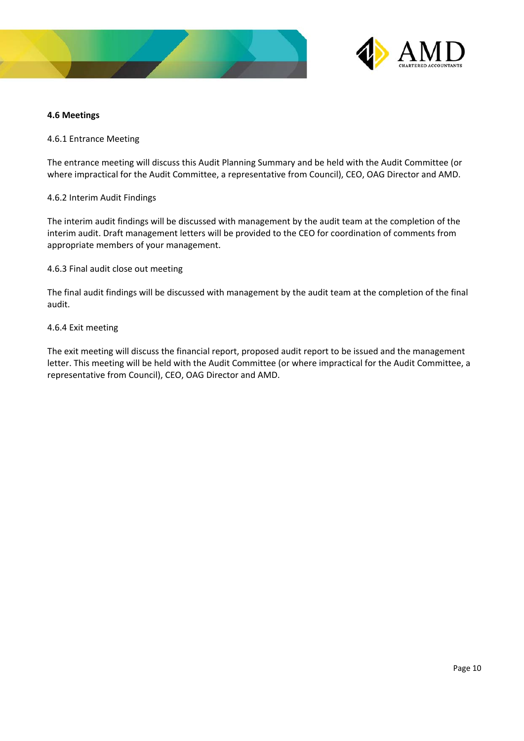



# **4.6 Meetings**

4.6.1 Entrance Meeting

The entrance meeting will discuss this Audit Planning Summary and be held with the Audit Committee (or where impractical for the Audit Committee, a representative from Council), CEO, OAG Director and AMD.

# 4.6.2 Interim Audit Findings

The interim audit findings will be discussed with management by the audit team at the completion of the interim audit. Draft management letters will be provided to the CEO for coordination of comments from appropriate members of your management.

# 4.6.3 Final audit close out meeting

The final audit findings will be discussed with management by the audit team at the completion of the final audit.

# 4.6.4 Exit meeting

The exit meeting will discuss the financial report, proposed audit report to be issued and the management letter. This meeting will be held with the Audit Committee (or where impractical for the Audit Committee, a representative from Council), CEO, OAG Director and AMD.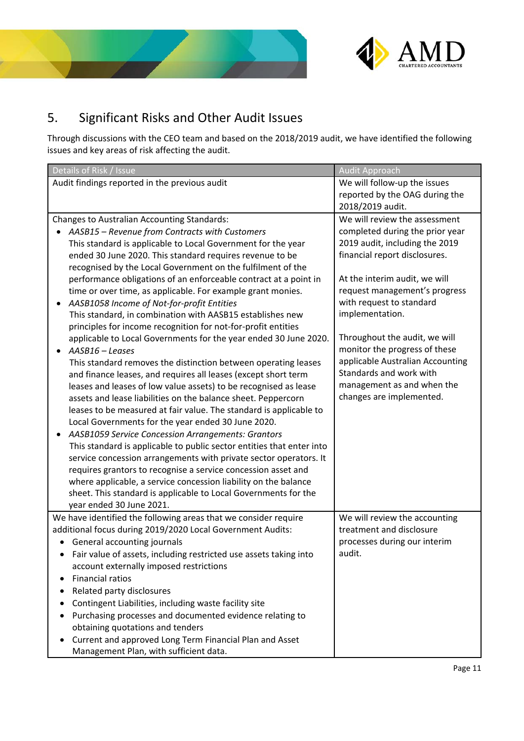



# 5. Significant Risks and Other Audit Issues

Through discussions with the CEO team and based on the 2018/2019 audit, we have identified the following issues and key areas of risk affecting the audit.

| Details of Risk / Issue                                                                                                  | <b>Audit Approach</b>                                           |
|--------------------------------------------------------------------------------------------------------------------------|-----------------------------------------------------------------|
| Audit findings reported in the previous audit                                                                            | We will follow-up the issues                                    |
|                                                                                                                          | reported by the OAG during the                                  |
|                                                                                                                          | 2018/2019 audit.                                                |
| Changes to Australian Accounting Standards:                                                                              | We will review the assessment                                   |
| AASB15 - Revenue from Contracts with Customers                                                                           | completed during the prior year                                 |
| This standard is applicable to Local Government for the year<br>ended 30 June 2020. This standard requires revenue to be | 2019 audit, including the 2019<br>financial report disclosures. |
| recognised by the Local Government on the fulfilment of the                                                              |                                                                 |
| performance obligations of an enforceable contract at a point in                                                         | At the interim audit, we will                                   |
| time or over time, as applicable. For example grant monies.                                                              | request management's progress                                   |
| AASB1058 Income of Not-for-profit Entities<br>$\bullet$                                                                  | with request to standard                                        |
| This standard, in combination with AASB15 establishes new                                                                | implementation.                                                 |
| principles for income recognition for not-for-profit entities                                                            |                                                                 |
| applicable to Local Governments for the year ended 30 June 2020.                                                         | Throughout the audit, we will                                   |
| AASB16 - Leases<br>$\bullet$                                                                                             | monitor the progress of these                                   |
| This standard removes the distinction between operating leases                                                           | applicable Australian Accounting                                |
| and finance leases, and requires all leases (except short term                                                           | Standards and work with                                         |
| leases and leases of low value assets) to be recognised as lease                                                         | management as and when the                                      |
| assets and lease liabilities on the balance sheet. Peppercorn                                                            | changes are implemented.                                        |
| leases to be measured at fair value. The standard is applicable to                                                       |                                                                 |
| Local Governments for the year ended 30 June 2020.                                                                       |                                                                 |
| AASB1059 Service Concession Arrangements: Grantors                                                                       |                                                                 |
| This standard is applicable to public sector entities that enter into                                                    |                                                                 |
| service concession arrangements with private sector operators. It                                                        |                                                                 |
| requires grantors to recognise a service concession asset and                                                            |                                                                 |
| where applicable, a service concession liability on the balance                                                          |                                                                 |
| sheet. This standard is applicable to Local Governments for the                                                          |                                                                 |
| year ended 30 June 2021.                                                                                                 |                                                                 |
| We have identified the following areas that we consider require                                                          | We will review the accounting<br>treatment and disclosure       |
| additional focus during 2019/2020 Local Government Audits:<br>General accounting journals                                | processes during our interim                                    |
| • Fair value of assets, including restricted use assets taking into                                                      | audit.                                                          |
| account externally imposed restrictions                                                                                  |                                                                 |
| <b>Financial ratios</b>                                                                                                  |                                                                 |
| Related party disclosures                                                                                                |                                                                 |
| Contingent Liabilities, including waste facility site                                                                    |                                                                 |
| Purchasing processes and documented evidence relating to                                                                 |                                                                 |
| obtaining quotations and tenders                                                                                         |                                                                 |
| Current and approved Long Term Financial Plan and Asset                                                                  |                                                                 |
| Management Plan, with sufficient data.                                                                                   |                                                                 |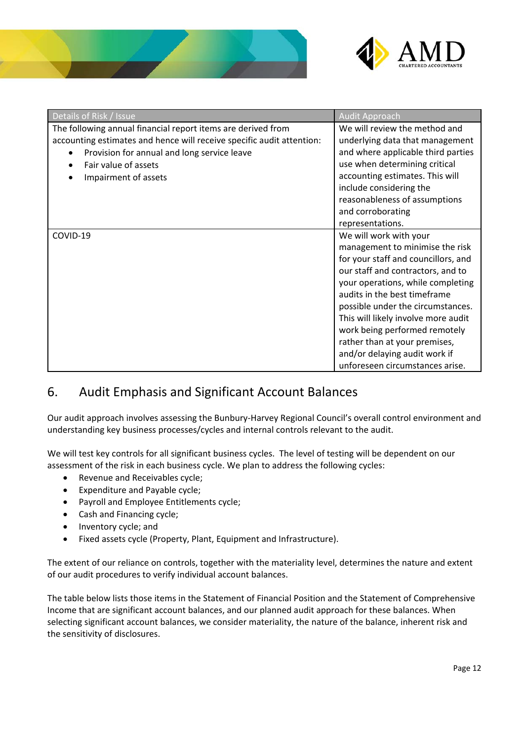



| Details of Risk / Issue                                                                                                                                                                                                              | <b>Audit Approach</b>                                                                                                                                                                                                                                                                                                                                                                                                        |
|--------------------------------------------------------------------------------------------------------------------------------------------------------------------------------------------------------------------------------------|------------------------------------------------------------------------------------------------------------------------------------------------------------------------------------------------------------------------------------------------------------------------------------------------------------------------------------------------------------------------------------------------------------------------------|
| The following annual financial report items are derived from<br>accounting estimates and hence will receive specific audit attention:<br>Provision for annual and long service leave<br>Fair value of assets<br>Impairment of assets | We will review the method and<br>underlying data that management<br>and where applicable third parties<br>use when determining critical<br>accounting estimates. This will<br>include considering the<br>reasonableness of assumptions<br>and corroborating<br>representations.                                                                                                                                              |
| COVID-19                                                                                                                                                                                                                             | We will work with your<br>management to minimise the risk<br>for your staff and councillors, and<br>our staff and contractors, and to<br>your operations, while completing<br>audits in the best timeframe<br>possible under the circumstances.<br>This will likely involve more audit<br>work being performed remotely<br>rather than at your premises,<br>and/or delaying audit work if<br>unforeseen circumstances arise. |

# 6. Audit Emphasis and Significant Account Balances

Our audit approach involves assessing the Bunbury‐Harvey Regional Council's overall control environment and understanding key business processes/cycles and internal controls relevant to the audit.

We will test key controls for all significant business cycles. The level of testing will be dependent on our assessment of the risk in each business cycle. We plan to address the following cycles:

- Revenue and Receivables cycle;
- Expenditure and Payable cycle;
- Payroll and Employee Entitlements cycle;
- Cash and Financing cycle;
- Inventory cycle; and
- Fixed assets cycle (Property, Plant, Equipment and Infrastructure).

The extent of our reliance on controls, together with the materiality level, determines the nature and extent of our audit procedures to verify individual account balances.

The table below lists those items in the Statement of Financial Position and the Statement of Comprehensive Income that are significant account balances, and our planned audit approach for these balances. When selecting significant account balances, we consider materiality, the nature of the balance, inherent risk and the sensitivity of disclosures.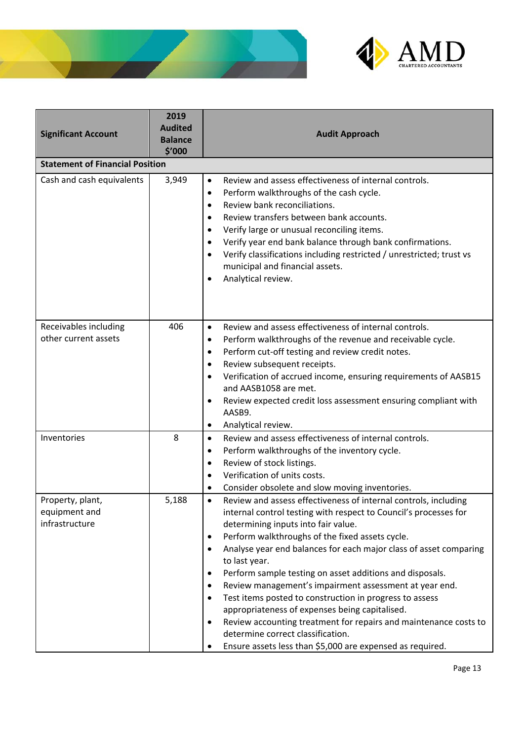



| <b>Significant Account</b>                          | 2019<br><b>Audited</b><br><b>Balance</b><br>\$′000 | <b>Audit Approach</b>                                                                                                                                                                                                                                                                                                                                                                                                                                                                                                                                                                                                                                                                                                                                                                   |
|-----------------------------------------------------|----------------------------------------------------|-----------------------------------------------------------------------------------------------------------------------------------------------------------------------------------------------------------------------------------------------------------------------------------------------------------------------------------------------------------------------------------------------------------------------------------------------------------------------------------------------------------------------------------------------------------------------------------------------------------------------------------------------------------------------------------------------------------------------------------------------------------------------------------------|
| <b>Statement of Financial Position</b>              |                                                    |                                                                                                                                                                                                                                                                                                                                                                                                                                                                                                                                                                                                                                                                                                                                                                                         |
| Cash and cash equivalents                           | 3,949                                              | Review and assess effectiveness of internal controls.<br>$\bullet$<br>Perform walkthroughs of the cash cycle.<br>٠<br>Review bank reconciliations.<br>$\bullet$<br>Review transfers between bank accounts.<br>$\bullet$<br>Verify large or unusual reconciling items.<br>$\bullet$<br>Verify year end bank balance through bank confirmations.<br>$\bullet$<br>Verify classifications including restricted / unrestricted; trust vs<br>$\bullet$<br>municipal and financial assets.<br>Analytical review.<br>٠                                                                                                                                                                                                                                                                          |
| Receivables including<br>other current assets       | 406                                                | Review and assess effectiveness of internal controls.<br>٠<br>Perform walkthroughs of the revenue and receivable cycle.<br>٠<br>Perform cut-off testing and review credit notes.<br>٠<br>Review subsequent receipts.<br>٠<br>Verification of accrued income, ensuring requirements of AASB15<br>$\bullet$<br>and AASB1058 are met.<br>Review expected credit loss assessment ensuring compliant with<br>AASB9.<br>Analytical review.<br>٠                                                                                                                                                                                                                                                                                                                                               |
| Inventories                                         | 8                                                  | Review and assess effectiveness of internal controls.<br>$\bullet$<br>Perform walkthroughs of the inventory cycle.<br>٠<br>Review of stock listings.<br>٠<br>Verification of units costs.<br>Consider obsolete and slow moving inventories.<br>٠                                                                                                                                                                                                                                                                                                                                                                                                                                                                                                                                        |
| Property, plant,<br>equipment and<br>infrastructure | 5,188                                              | Review and assess effectiveness of internal controls, including<br>$\bullet$<br>internal control testing with respect to Council's processes for<br>determining inputs into fair value.<br>Perform walkthroughs of the fixed assets cycle.<br>٠<br>Analyse year end balances for each major class of asset comparing<br>$\bullet$<br>to last year.<br>Perform sample testing on asset additions and disposals.<br>٠<br>Review management's impairment assessment at year end.<br>٠<br>Test items posted to construction in progress to assess<br>$\bullet$<br>appropriateness of expenses being capitalised.<br>Review accounting treatment for repairs and maintenance costs to<br>٠<br>determine correct classification.<br>Ensure assets less than \$5,000 are expensed as required. |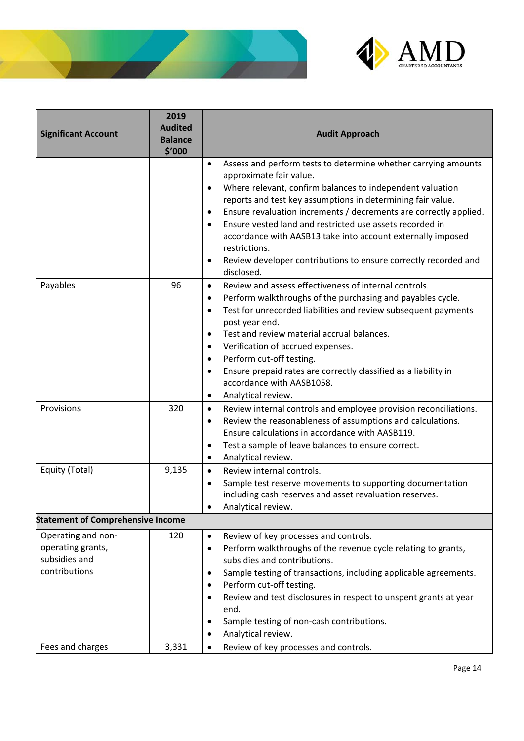



| <b>Significant Account</b>                                                | 2019<br><b>Audited</b><br><b>Balance</b><br>\$'000 | <b>Audit Approach</b>                                                                                                                                                                                                                                                                                                                                                                                                                                                                                                                                                    |
|---------------------------------------------------------------------------|----------------------------------------------------|--------------------------------------------------------------------------------------------------------------------------------------------------------------------------------------------------------------------------------------------------------------------------------------------------------------------------------------------------------------------------------------------------------------------------------------------------------------------------------------------------------------------------------------------------------------------------|
|                                                                           |                                                    | Assess and perform tests to determine whether carrying amounts<br>$\bullet$<br>approximate fair value.<br>Where relevant, confirm balances to independent valuation<br>$\bullet$<br>reports and test key assumptions in determining fair value.<br>Ensure revaluation increments / decrements are correctly applied.<br>٠<br>Ensure vested land and restricted use assets recorded in<br>$\bullet$<br>accordance with AASB13 take into account externally imposed<br>restrictions.<br>Review developer contributions to ensure correctly recorded and<br>٠<br>disclosed. |
| Payables                                                                  | 96                                                 | Review and assess effectiveness of internal controls.<br>$\bullet$<br>Perform walkthroughs of the purchasing and payables cycle.<br>$\bullet$<br>Test for unrecorded liabilities and review subsequent payments<br>$\bullet$<br>post year end.<br>Test and review material accrual balances.<br>$\bullet$<br>Verification of accrued expenses.<br>$\bullet$<br>Perform cut-off testing.<br>$\bullet$<br>Ensure prepaid rates are correctly classified as a liability in<br>$\bullet$<br>accordance with AASB1058.<br>Analytical review.<br>$\bullet$                     |
| Provisions                                                                | 320                                                | Review internal controls and employee provision reconciliations.<br>$\bullet$<br>Review the reasonableness of assumptions and calculations.<br>$\bullet$<br>Ensure calculations in accordance with AASB119.<br>Test a sample of leave balances to ensure correct.<br>٠<br>Analytical review.<br>$\bullet$                                                                                                                                                                                                                                                                |
| Equity (Total)                                                            | 9,135                                              | Review internal controls.<br>$\bullet$<br>Sample test reserve movements to supporting documentation<br>$\bullet$<br>including cash reserves and asset revaluation reserves.<br>Analytical review.                                                                                                                                                                                                                                                                                                                                                                        |
| <b>Statement of Comprehensive Income</b>                                  |                                                    |                                                                                                                                                                                                                                                                                                                                                                                                                                                                                                                                                                          |
| Operating and non-<br>operating grants,<br>subsidies and<br>contributions | 120                                                | Review of key processes and controls.<br>$\bullet$<br>Perform walkthroughs of the revenue cycle relating to grants,<br>$\bullet$<br>subsidies and contributions.<br>Sample testing of transactions, including applicable agreements.<br>٠<br>Perform cut-off testing.<br>٠<br>Review and test disclosures in respect to unspent grants at year<br>end.<br>Sample testing of non-cash contributions.<br>٠<br>Analytical review.<br>٠                                                                                                                                      |
| Fees and charges                                                          | 3,331                                              | Review of key processes and controls.<br>$\bullet$                                                                                                                                                                                                                                                                                                                                                                                                                                                                                                                       |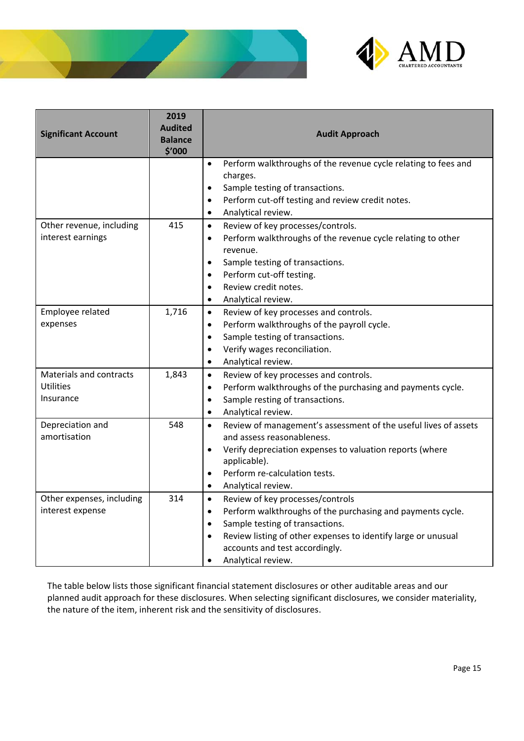



| <b>Significant Account</b>                        | 2019<br><b>Audited</b><br><b>Balance</b><br>\$'000 | <b>Audit Approach</b>                                                                                                                                                                                                                                                                                          |
|---------------------------------------------------|----------------------------------------------------|----------------------------------------------------------------------------------------------------------------------------------------------------------------------------------------------------------------------------------------------------------------------------------------------------------------|
|                                                   |                                                    | Perform walkthroughs of the revenue cycle relating to fees and<br>$\bullet$<br>charges.<br>Sample testing of transactions.<br>$\bullet$<br>Perform cut-off testing and review credit notes.<br>$\bullet$<br>Analytical review.<br>$\bullet$                                                                    |
| Other revenue, including<br>interest earnings     | 415                                                | Review of key processes/controls.<br>$\bullet$<br>Perform walkthroughs of the revenue cycle relating to other<br>$\bullet$<br>revenue.<br>Sample testing of transactions.<br>Perform cut-off testing.<br>Review credit notes.<br>Analytical review.                                                            |
| Employee related<br>expenses                      | 1,716                                              | Review of key processes and controls.<br>$\bullet$<br>Perform walkthroughs of the payroll cycle.<br>$\bullet$<br>Sample testing of transactions.<br>$\bullet$<br>Verify wages reconciliation.<br>$\bullet$<br>Analytical review.<br>$\bullet$                                                                  |
| Materials and contracts<br>Utilities<br>Insurance | 1,843                                              | Review of key processes and controls.<br>$\bullet$<br>Perform walkthroughs of the purchasing and payments cycle.<br>$\bullet$<br>Sample resting of transactions.<br>$\bullet$<br>Analytical review.<br>$\bullet$                                                                                               |
| Depreciation and<br>amortisation                  | 548                                                | Review of management's assessment of the useful lives of assets<br>$\bullet$<br>and assess reasonableness.<br>Verify depreciation expenses to valuation reports (where<br>$\bullet$<br>applicable).<br>Perform re-calculation tests.<br>$\bullet$<br>Analytical review.<br>$\bullet$                           |
| Other expenses, including<br>interest expense     | 314                                                | Review of key processes/controls<br>$\bullet$<br>Perform walkthroughs of the purchasing and payments cycle.<br>$\bullet$<br>Sample testing of transactions.<br>$\bullet$<br>Review listing of other expenses to identify large or unusual<br>$\bullet$<br>accounts and test accordingly.<br>Analytical review. |

The table below lists those significant financial statement disclosures or other auditable areas and our planned audit approach for these disclosures. When selecting significant disclosures, we consider materiality, the nature of the item, inherent risk and the sensitivity of disclosures.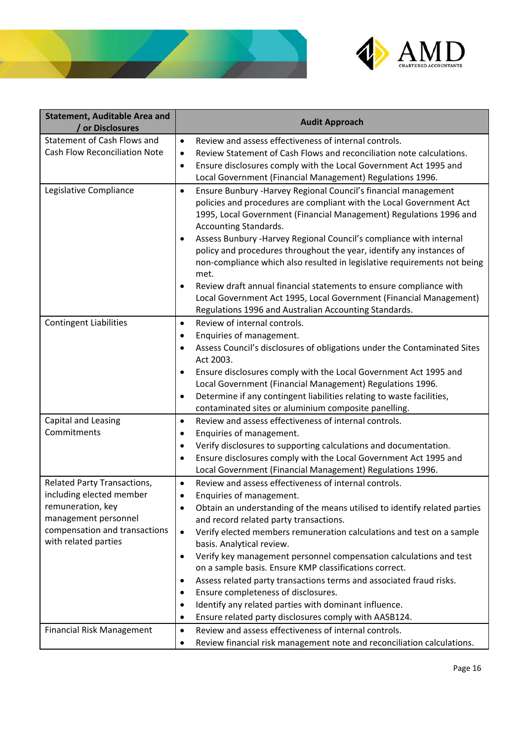



| <b>Statement, Auditable Area and</b><br>/ or Disclosures | <b>Audit Approach</b>                                                                                                                                                                                                                              |
|----------------------------------------------------------|----------------------------------------------------------------------------------------------------------------------------------------------------------------------------------------------------------------------------------------------------|
| Statement of Cash Flows and                              | Review and assess effectiveness of internal controls.<br>$\bullet$                                                                                                                                                                                 |
| <b>Cash Flow Reconciliation Note</b>                     | Review Statement of Cash Flows and reconciliation note calculations.<br>$\bullet$                                                                                                                                                                  |
|                                                          | Ensure disclosures comply with the Local Government Act 1995 and<br>$\bullet$                                                                                                                                                                      |
|                                                          | Local Government (Financial Management) Regulations 1996.                                                                                                                                                                                          |
| Legislative Compliance                                   | Ensure Bunbury - Harvey Regional Council's financial management<br>$\bullet$<br>policies and procedures are compliant with the Local Government Act<br>1995, Local Government (Financial Management) Regulations 1996 and<br>Accounting Standards. |
|                                                          | Assess Bunbury - Harvey Regional Council's compliance with internal<br>$\bullet$<br>policy and procedures throughout the year, identify any instances of<br>non-compliance which also resulted in legislative requirements not being<br>met.       |
|                                                          | Review draft annual financial statements to ensure compliance with<br>$\bullet$<br>Local Government Act 1995, Local Government (Financial Management)<br>Regulations 1996 and Australian Accounting Standards.                                     |
| <b>Contingent Liabilities</b>                            | Review of internal controls.<br>$\bullet$                                                                                                                                                                                                          |
|                                                          | Enquiries of management.<br>$\bullet$                                                                                                                                                                                                              |
|                                                          | Assess Council's disclosures of obligations under the Contaminated Sites<br>$\bullet$<br>Act 2003.                                                                                                                                                 |
|                                                          | Ensure disclosures comply with the Local Government Act 1995 and<br>$\bullet$                                                                                                                                                                      |
|                                                          | Local Government (Financial Management) Regulations 1996.                                                                                                                                                                                          |
|                                                          | Determine if any contingent liabilities relating to waste facilities,<br>$\bullet$                                                                                                                                                                 |
|                                                          | contaminated sites or aluminium composite panelling.                                                                                                                                                                                               |
| Capital and Leasing<br>Commitments                       | Review and assess effectiveness of internal controls.<br>$\bullet$                                                                                                                                                                                 |
|                                                          | Enquiries of management.<br>$\bullet$                                                                                                                                                                                                              |
|                                                          | Verify disclosures to supporting calculations and documentation.<br>$\bullet$<br>Ensure disclosures comply with the Local Government Act 1995 and<br>$\bullet$                                                                                     |
|                                                          | Local Government (Financial Management) Regulations 1996.                                                                                                                                                                                          |
| Related Party Transactions,                              | Review and assess effectiveness of internal controls.<br>$\bullet$                                                                                                                                                                                 |
| including elected member                                 | Enquiries of management.<br>$\bullet$                                                                                                                                                                                                              |
| remuneration, key                                        | Obtain an understanding of the means utilised to identify related parties<br>$\bullet$                                                                                                                                                             |
| management personnel                                     | and record related party transactions.                                                                                                                                                                                                             |
| compensation and transactions                            | Verify elected members remuneration calculations and test on a sample<br>$\bullet$                                                                                                                                                                 |
| with related parties                                     | basis. Analytical review.                                                                                                                                                                                                                          |
|                                                          | Verify key management personnel compensation calculations and test<br>$\bullet$                                                                                                                                                                    |
|                                                          | on a sample basis. Ensure KMP classifications correct.                                                                                                                                                                                             |
|                                                          | Assess related party transactions terms and associated fraud risks.<br>$\bullet$                                                                                                                                                                   |
|                                                          | Ensure completeness of disclosures.<br>$\bullet$                                                                                                                                                                                                   |
|                                                          | Identify any related parties with dominant influence.<br>$\bullet$                                                                                                                                                                                 |
|                                                          | Ensure related party disclosures comply with AASB124.<br>٠                                                                                                                                                                                         |
| <b>Financial Risk Management</b>                         | Review and assess effectiveness of internal controls.<br>$\bullet$                                                                                                                                                                                 |
|                                                          | Review financial risk management note and reconciliation calculations.<br>$\bullet$                                                                                                                                                                |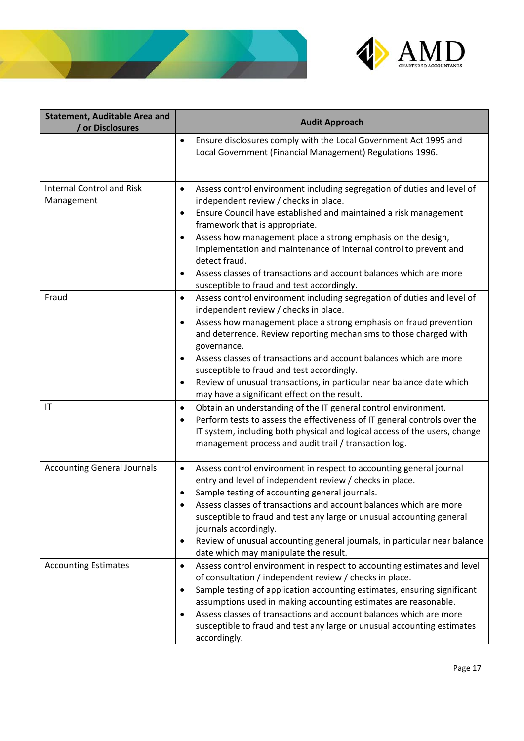



| <b>Statement, Auditable Area and</b><br>/ or Disclosures | <b>Audit Approach</b>                                                                                                                                                                                                                                                                                                                                                                                                                                                                                                                                                                                                                                                                                                                               |
|----------------------------------------------------------|-----------------------------------------------------------------------------------------------------------------------------------------------------------------------------------------------------------------------------------------------------------------------------------------------------------------------------------------------------------------------------------------------------------------------------------------------------------------------------------------------------------------------------------------------------------------------------------------------------------------------------------------------------------------------------------------------------------------------------------------------------|
|                                                          | Ensure disclosures comply with the Local Government Act 1995 and<br>$\bullet$<br>Local Government (Financial Management) Regulations 1996.                                                                                                                                                                                                                                                                                                                                                                                                                                                                                                                                                                                                          |
| <b>Internal Control and Risk</b><br>Management           | Assess control environment including segregation of duties and level of<br>$\bullet$<br>independent review / checks in place.<br>Ensure Council have established and maintained a risk management<br>$\bullet$<br>framework that is appropriate.<br>Assess how management place a strong emphasis on the design,<br>٠<br>implementation and maintenance of internal control to prevent and<br>detect fraud.<br>Assess classes of transactions and account balances which are more<br>$\bullet$<br>susceptible to fraud and test accordingly.                                                                                                                                                                                                        |
| Fraud<br>IT                                              | Assess control environment including segregation of duties and level of<br>$\bullet$<br>independent review / checks in place.<br>Assess how management place a strong emphasis on fraud prevention<br>$\bullet$<br>and deterrence. Review reporting mechanisms to those charged with<br>governance.<br>Assess classes of transactions and account balances which are more<br>$\bullet$<br>susceptible to fraud and test accordingly.<br>Review of unusual transactions, in particular near balance date which<br>$\bullet$<br>may have a significant effect on the result.<br>Obtain an understanding of the IT general control environment.<br>$\bullet$<br>Perform tests to assess the effectiveness of IT general controls over the<br>$\bullet$ |
|                                                          | IT system, including both physical and logical access of the users, change<br>management process and audit trail / transaction log.                                                                                                                                                                                                                                                                                                                                                                                                                                                                                                                                                                                                                 |
| <b>Accounting General Journals</b>                       | Assess control environment in respect to accounting general journal<br>$\bullet$<br>entry and level of independent review / checks in place.<br>Sample testing of accounting general journals.<br>٠<br>Assess classes of transactions and account balances which are more<br>susceptible to fraud and test any large or unusual accounting general<br>journals accordingly.<br>Review of unusual accounting general journals, in particular near balance<br>$\bullet$<br>date which may manipulate the result.                                                                                                                                                                                                                                      |
| <b>Accounting Estimates</b>                              | Assess control environment in respect to accounting estimates and level<br>$\bullet$<br>of consultation / independent review / checks in place.<br>Sample testing of application accounting estimates, ensuring significant<br>$\bullet$<br>assumptions used in making accounting estimates are reasonable.<br>Assess classes of transactions and account balances which are more<br>٠<br>susceptible to fraud and test any large or unusual accounting estimates<br>accordingly.                                                                                                                                                                                                                                                                   |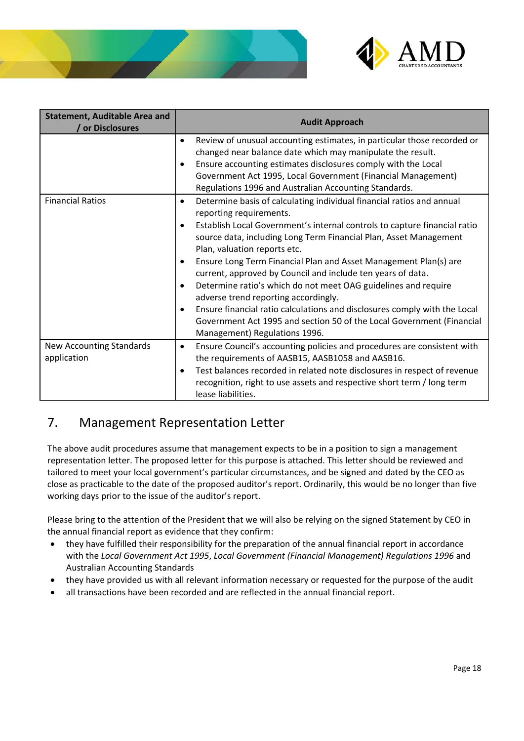



| <b>Statement, Auditable Area and</b><br>/ or Disclosures | <b>Audit Approach</b>                                                                                                                                                                                                                                                                                                                                                                                                                                                                                                                                                                                                                                                                                                                                                           |
|----------------------------------------------------------|---------------------------------------------------------------------------------------------------------------------------------------------------------------------------------------------------------------------------------------------------------------------------------------------------------------------------------------------------------------------------------------------------------------------------------------------------------------------------------------------------------------------------------------------------------------------------------------------------------------------------------------------------------------------------------------------------------------------------------------------------------------------------------|
|                                                          | Review of unusual accounting estimates, in particular those recorded or<br>$\bullet$<br>changed near balance date which may manipulate the result.<br>Ensure accounting estimates disclosures comply with the Local<br>$\bullet$<br>Government Act 1995, Local Government (Financial Management)<br>Regulations 1996 and Australian Accounting Standards.                                                                                                                                                                                                                                                                                                                                                                                                                       |
| <b>Financial Ratios</b>                                  | Determine basis of calculating individual financial ratios and annual<br>٠<br>reporting requirements.<br>Establish Local Government's internal controls to capture financial ratio<br>$\bullet$<br>source data, including Long Term Financial Plan, Asset Management<br>Plan, valuation reports etc.<br>Ensure Long Term Financial Plan and Asset Management Plan(s) are<br>$\bullet$<br>current, approved by Council and include ten years of data.<br>Determine ratio's which do not meet OAG guidelines and require<br>$\bullet$<br>adverse trend reporting accordingly.<br>Ensure financial ratio calculations and disclosures comply with the Local<br>$\bullet$<br>Government Act 1995 and section 50 of the Local Government (Financial<br>Management) Regulations 1996. |
| New Accounting Standards<br>application                  | Ensure Council's accounting policies and procedures are consistent with<br>$\bullet$<br>the requirements of AASB15, AASB1058 and AASB16.<br>Test balances recorded in related note disclosures in respect of revenue<br>$\bullet$<br>recognition, right to use assets and respective short term / long term<br>lease liabilities.                                                                                                                                                                                                                                                                                                                                                                                                                                               |

# 7. Management Representation Letter

The above audit procedures assume that management expects to be in a position to sign a management representation letter. The proposed letter for this purpose is attached. This letter should be reviewed and tailored to meet your local government's particular circumstances, and be signed and dated by the CEO as close as practicable to the date of the proposed auditor's report. Ordinarily, this would be no longer than five working days prior to the issue of the auditor's report.

Please bring to the attention of the President that we will also be relying on the signed Statement by CEO in the annual financial report as evidence that they confirm:

- they have fulfilled their responsibility for the preparation of the annual financial report in accordance with the *Local Government Act 1995*, *Local Government (Financial Management) Regulations 1996* and Australian Accounting Standards
- they have provided us with all relevant information necessary or requested for the purpose of the audit
- all transactions have been recorded and are reflected in the annual financial report.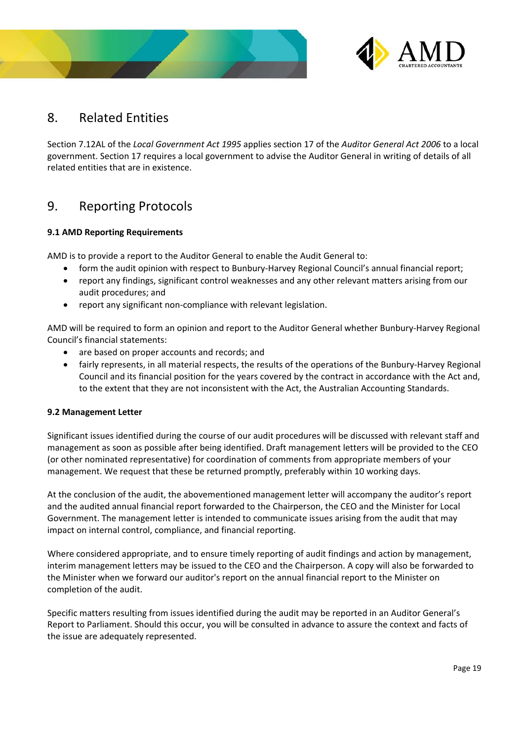



# 8. Related Entities

Section 7.12AL of the *Local Government Act 1995* applies section 17 of the *Auditor General Act 2006* to a local government. Section 17 requires a local government to advise the Auditor General in writing of details of all related entities that are in existence.

# 9. Reporting Protocols

# **9.1 AMD Reporting Requirements**

AMD is to provide a report to the Auditor General to enable the Audit General to:

- form the audit opinion with respect to Bunbury‐Harvey Regional Council's annual financial report;
- report any findings, significant control weaknesses and any other relevant matters arising from our audit procedures; and
- report any significant non‐compliance with relevant legislation.

AMD will be required to form an opinion and report to the Auditor General whether Bunbury‐Harvey Regional Council's financial statements:

- are based on proper accounts and records; and
- fairly represents, in all material respects, the results of the operations of the Bunbury‐Harvey Regional Council and its financial position for the years covered by the contract in accordance with the Act and, to the extent that they are not inconsistent with the Act, the Australian Accounting Standards.

# **9.2 Management Letter**

Significant issues identified during the course of our audit procedures will be discussed with relevant staff and management as soon as possible after being identified. Draft management letters will be provided to the CEO (or other nominated representative) for coordination of comments from appropriate members of your management. We request that these be returned promptly, preferably within 10 working days.

At the conclusion of the audit, the abovementioned management letter will accompany the auditor's report and the audited annual financial report forwarded to the Chairperson, the CEO and the Minister for Local Government. The management letter is intended to communicate issues arising from the audit that may impact on internal control, compliance, and financial reporting.

Where considered appropriate, and to ensure timely reporting of audit findings and action by management, interim management letters may be issued to the CEO and the Chairperson. A copy will also be forwarded to the Minister when we forward our auditor's report on the annual financial report to the Minister on completion of the audit.

Specific matters resulting from issues identified during the audit may be reported in an Auditor General's Report to Parliament. Should this occur, you will be consulted in advance to assure the context and facts of the issue are adequately represented.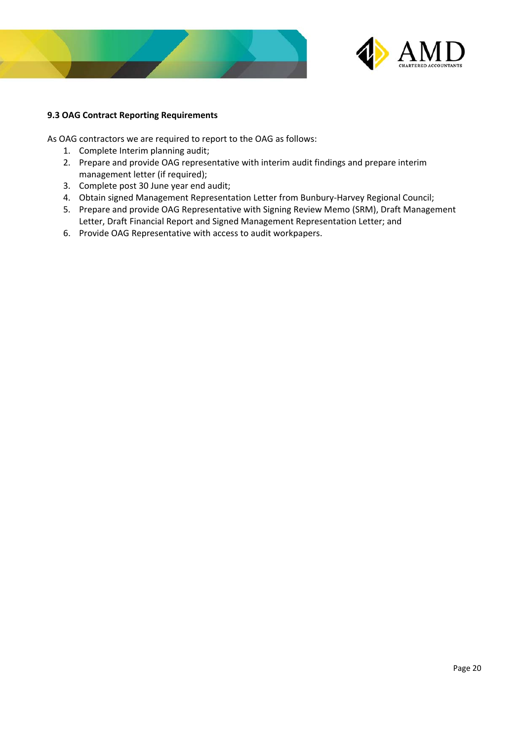



# **9.3 OAG Contract Reporting Requirements**

As OAG contractors we are required to report to the OAG as follows:

- 1. Complete Interim planning audit;
- 2. Prepare and provide OAG representative with interim audit findings and prepare interim management letter (if required);
- 3. Complete post 30 June year end audit;
- 4. Obtain signed Management Representation Letter from Bunbury-Harvey Regional Council;
- 5. Prepare and provide OAG Representative with Signing Review Memo (SRM), Draft Management Letter, Draft Financial Report and Signed Management Representation Letter; and
- 6. Provide OAG Representative with access to audit workpapers.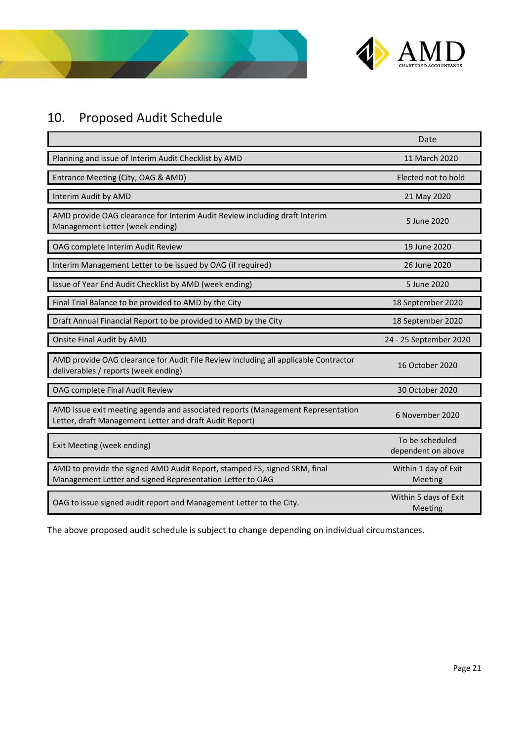



# 10. Proposed Audit Schedule

|                                                                                                                                            | Date                                  |
|--------------------------------------------------------------------------------------------------------------------------------------------|---------------------------------------|
| Planning and issue of Interim Audit Checklist by AMD                                                                                       | 11 March 2020                         |
| Entrance Meeting (City, OAG & AMD)                                                                                                         | Elected not to hold                   |
| Interim Audit by AMD                                                                                                                       | 21 May 2020                           |
| AMD provide OAG clearance for Interim Audit Review including draft Interim<br>Management Letter (week ending)                              | 5 June 2020                           |
| OAG complete Interim Audit Review                                                                                                          | 19 June 2020                          |
| Interim Management Letter to be issued by OAG (if required)                                                                                | 26 June 2020                          |
| Issue of Year End Audit Checklist by AMD (week ending)                                                                                     | 5 June 2020                           |
| Final Trial Balance to be provided to AMD by the City                                                                                      | 18 September 2020                     |
| Draft Annual Financial Report to be provided to AMD by the City                                                                            | 18 September 2020                     |
| Onsite Final Audit by AMD                                                                                                                  | 24 - 25 September 2020                |
| AMD provide OAG clearance for Audit File Review including all applicable Contractor<br>deliverables / reports (week ending)                | 16 October 2020                       |
| OAG complete Final Audit Review                                                                                                            | 30 October 2020                       |
| AMD issue exit meeting agenda and associated reports (Management Representation<br>Letter, draft Management Letter and draft Audit Report) | 6 November 2020                       |
| Exit Meeting (week ending)                                                                                                                 | To be scheduled<br>dependent on above |
| AMD to provide the signed AMD Audit Report, stamped FS, signed SRM, final<br>Management Letter and signed Representation Letter to OAG     | Within 1 day of Exit<br>Meeting       |
| OAG to issue signed audit report and Management Letter to the City.                                                                        | Within 5 days of Exit<br>Meeting      |

The above proposed audit schedule is subject to change depending on individual circumstances.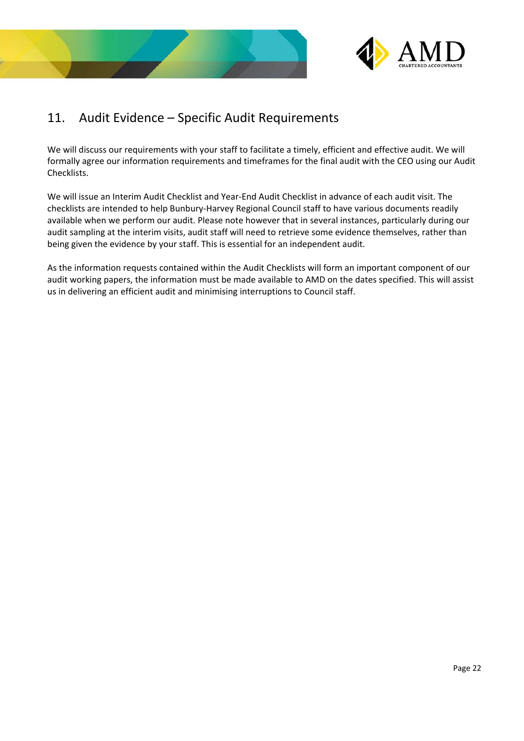



# 11. Audit Evidence – Specific Audit Requirements

We will discuss our requirements with your staff to facilitate a timely, efficient and effective audit. We will formally agree our information requirements and timeframes for the final audit with the CEO using our Audit Checklists.

We will issue an Interim Audit Checklist and Year‐End Audit Checklist in advance of each audit visit. The checklists are intended to help Bunbury‐Harvey Regional Council staff to have various documents readily available when we perform our audit. Please note however that in several instances, particularly during our audit sampling at the interim visits, audit staff will need to retrieve some evidence themselves, rather than being given the evidence by your staff. This is essential for an independent audit.

As the information requests contained within the Audit Checklists will form an important component of our audit working papers, the information must be made available to AMD on the dates specified. This will assist us in delivering an efficient audit and minimising interruptions to Council staff.